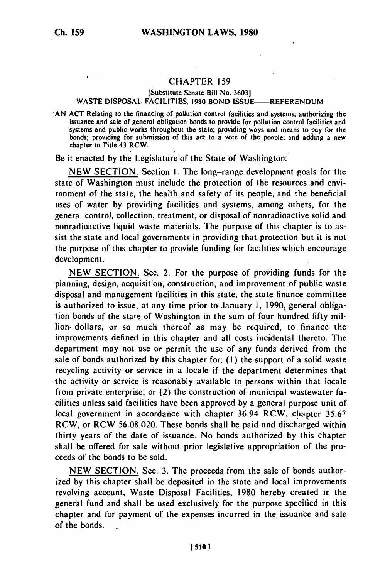## CHAPTER 159

## [Substitute Senate Bill No. 3603] WASTE DISPOSAL FACILITIES, 1980 BOND ISSUE-REFERENDUM

**-AN** ACT Relating to the financing of pollution control facilities and systems; authorizing the issuance and sale of general obligation bonds to provide for pollution control facilities and systems and public works throughout the state; provide for pointing ways and means to pay for the state; providing ways and means to pay for the people; and adding a new bonds; providing for submission of this act to a vote of the people; and adding a new chapter to Title 43 RCW.

Be it enacted by the Legislature of the State of Washington:

NEW SECTION. Section **1.** The long-range development goals for the state of Washington must include the protection of the resources and environment of the state, the health and safety of its people, and the beneficial uses of water by providing facilities and systems, among others, for the general control, collection, treatment, or disposal of nonradioactive solid and nonradioactive liquid waste materials. The purpose of this chapter is to assist the state and local governments in providing that protection but it is not the purpose of this chapter to provide funding for facilities which encourage development.

NEW SECTION. Sec. 2. For the purpose of providing funds for the planning, design, acquisition, construction, and improvement of public waste disposal and management facilities in this state, the state finance committee is authorized to issue, at any time prior to January **1,** 1990, general obligation bonds of the state of Washington in the sum of four hundred fifty million- dollars, or so much thereof as may be required, to finance the improvements defined in this chapter and all costs incidental thereto. The department may not use or permit the use of any funds derived from the sale of bonds authorized by this chapter for: (I) the support of a solid waste recycling activity or service in a locale if the department determines that the activity or service is reasonably available to persons within that locale from private enterprise; or (2) the construction of municipal wastewater facilities unless said facilities have been approved by a general purpose unit of local government in accordance with chapter 36.94 RCW, chapter 35.67 RCW, or RCW 56.08.020. These bonds shall be paid and discharged within thirty years of the date of issuance. No bonds authorized by this chapter shall be offered for sale without prior legislative appropriation of the proceeds of the bonds to be sold.

NEW SECTION. Sec. 3. The proceeds from the sale of bonds authorized by this chapter shall be deposited in the state and local improvements revolving account, Waste Disposal Facilities, 1980 hereby created in the general fund and shall be used exclusively for the purpose specified in this chapter and for payment of the expenses incurred in the issuance and sale of the bonds.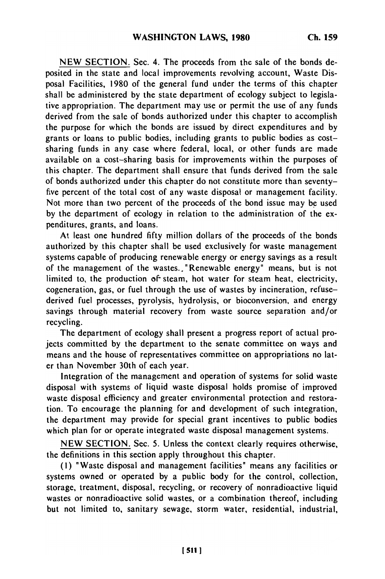**NEW** SECTION. Sec. 4. The proceeds from the sale of the bonds deposited in the state and local improvements revolving account, Waste Disposal Facilities, 1980 of the general fund under the terms of this chapter shall be administered by the state department of ecology subject to legislative appropriation. The department may use or permit the use of any funds derived from the sale of bonds authorized under this chapter to accomplish the purpose for which the bonds are issued by direct expenditures and by grants or loans to public bodies, including grants to public bodies as costsharing funds in any case where federal, local, or other funds are made available on a cost-sharing basis for improvements within the purposes of this chapter. The department shall ensure that funds derived from the sale of bonds authorized under this chapter do not constitute more than seventyfive percent of the total cost of any waste disposal or management facility. Not more than two percent of the proceeds of the bond issue may be used by the department of ecology in relation to the administration of the expenditures, grants, and loans.

At least one hundred fifty million dollars of the proceeds of the bonds authorized by this chapter shall be used exclusively for waste management systems capable of producing renewable energy or energy savings as a result of the management of the wastes., "Renewable energy" means, but is not limited to, the production of steam, hot water for steam heat, electricity, cogeneration, gas, or fuel through the use of wastes by incineration, refusederived fuel processes, pyrolysis, hydrolysis, or bioconversion, and energy savings through material recovery from waste source separation and/or recycling.

The department of ecology shall present a progress report of actual projects committed by the department to the senate committee on ways and means and the house of representatives committee on appropriations no later than November 30th of each year.

Integration of the management and operation of systems for solid waste disposal with systems of liquid waste disposal holds promise of improved waste disposal efficiency and greater environmental protection and restoration. To encourage the planning for and development of such integration, the department may provide for special grant incentives to public bodies which plan for or operate integrated waste disposal management systems.

NEW SECTION. Sec. 5. Unless the context clearly requires otherwise, the definitions in this section apply throughout this chapter.

(I) "Waste disposal and management facilities" means any facilities or systems owned or operated by a public body for the control, collection, storage, treatment, disposal, recycling, or recovery of nonradioactive liquid wastes or nonradioactive solid wastes, or a combination thereof, including but not limited to, sanitary sewage, storm water, residential, industrial,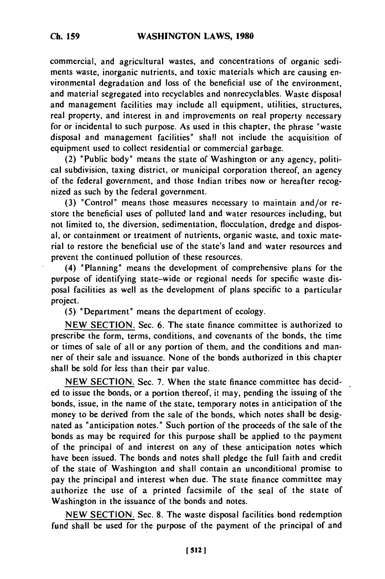commercial, and agricultural wastes, and concentrations of organic sediments waste, inorganic nutrients, and toxic materials which are causing environmental degradation and loss of the beneficial use of the environment, and material segregated into recyclables and nonrecyclables. Waste disposal and management facilities may include all equipment, utilities, structures, real property, and interest in and improvements on real property necessary for or incidental to such purpose. As used in this chapter, the phrase "waste disposal and management facilities" shall not include the acquisition of equipment used to collect residential or commercial garbage.

(2) "Public body" means the state of Washington or any agency, political subdivision, taxing district, or municipal corporation thereof, an agency of the federal government, and those Indian tribes now or hereafter recognized as such by the federal government.

(3) "Control" means those measures necessary to maintain and/or restore the beneficial uses of polluted land and water resources including, but not limited to, the diversion, sedimentation, flocculation, dredge and disposal, or containment or treatment of nutrients, organic waste, and toxic material to restore the beneficial use of the state's land and water resources and prevent the continued pollution of these resources.

(4) 'Planning' means the development of comprehensive plans for the purpose of identifying state-wide or regional needs for specific waste disposal facilities as well as the development of plans specific to a particular project.

(5) 'Department' means the department of ecology.

NEW SECTION. Sec. 6. The state finance committee is authorized to prescribe the form, terms, conditions, and covenants of the bonds, the time or times of sale of all or any portion of them, and the conditions and manner of their sale and issuance. None of the bonds authorized in this chapter shall be sold for less than their par value.

NEW SECTION. Sec. 7. When the state finance committee has decided to issue the bonds, or a portion thereof, it may, pending the issuing of the bonds, issue, in the name of the state, temporary notes in anticipation of the money to be derived from the sale of the bonds, which notes shall be designated as "anticipation notes." Such portion of the proceeds of the sale of the bonds as may be required for this purpose shall be applied to the payment of the principal of and interest on any of these anticipation notes which have been issued. The bonds and notes shall pledge the full faith and credit of the state of Washington and shall contain an unconditional promise to pay the principal and interest when due. The state finance committee may authorize the use of a printed facsimile of the seal of the state of Washington in the issuance of the bonds and notes.

NEW SECTION. Sec. 8. The waste disposal facilities bond redemption fund shall be used for the purpose of the payment of the principal of and